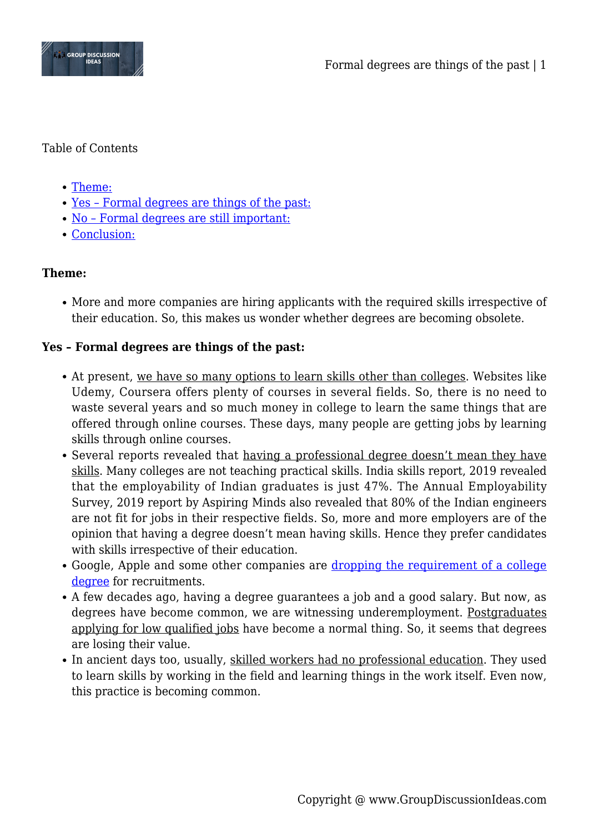

### Table of Contents

- [Theme:](#page--1-0)
- [Yes Formal degrees are things of the past:](#page--1-0)
- [No Formal degrees are still important:](#page--1-0)
- [Conclusion:](#page--1-0)

# **Theme:**

• More and more companies are hiring applicants with the required skills irrespective of their education. So, this makes us wonder whether degrees are becoming obsolete.

## **Yes – Formal degrees are things of the past:**

- At present, we have so many options to learn skills other than colleges. Websites like Udemy, Coursera offers plenty of courses in several fields. So, there is no need to waste several years and so much money in college to learn the same things that are offered through online courses. These days, many people are getting jobs by learning skills through online courses.
- Several reports revealed that having a professional degree doesn't mean they have skills. Many colleges are not teaching practical skills. India skills report, 2019 revealed that the employability of Indian graduates is just 47%. The Annual Employability Survey, 2019 report by Aspiring Minds also revealed that 80% of the Indian engineers are not fit for jobs in their respective fields. So, more and more employers are of the opinion that having a degree doesn't mean having skills. Hence they prefer candidates with skills irrespective of their education.
- Google, Apple and some other companies are [dropping the requirement of a college](https://www.cnbc.com/2018/08/16/15-companies-that-no-longer-require-employees-to-have-a-college-degree.html) [degree](https://www.cnbc.com/2018/08/16/15-companies-that-no-longer-require-employees-to-have-a-college-degree.html) for recruitments.
- A few decades ago, having a degree guarantees a job and a good salary. But now, as degrees have become common, we are witnessing underemployment. Postgraduates applying for low qualified jobs have become a normal thing. So, it seems that degrees are losing their value.
- In ancient days too, usually, skilled workers had no professional education. They used to learn skills by working in the field and learning things in the work itself. Even now, this practice is becoming common.